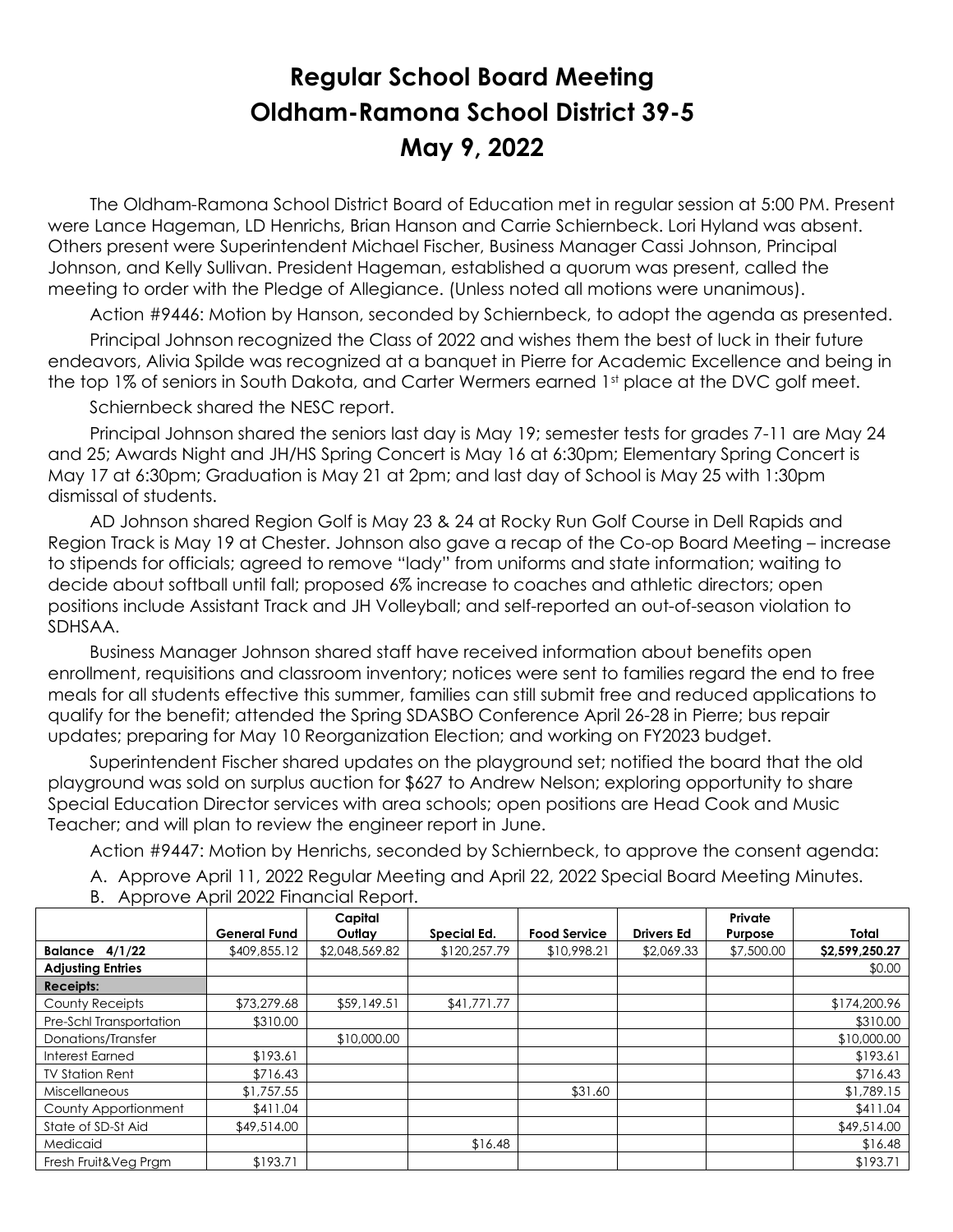## **Regular School Board Meeting Oldham-Ramona School District 39-5 May 9, 2022**

 The Oldham-Ramona School District Board of Education met in regular session at 5:00 PM. Present were Lance Hageman, LD Henrichs, Brian Hanson and Carrie Schiernbeck. Lori Hyland was absent. Others present were Superintendent Michael Fischer, Business Manager Cassi Johnson, Principal Johnson, and Kelly Sullivan. President Hageman, established a quorum was present, called the meeting to order with the Pledge of Allegiance. (Unless noted all motions were unanimous).

Action #9446: Motion by Hanson, seconded by Schiernbeck, to adopt the agenda as presented.

 Principal Johnson recognized the Class of 2022 and wishes them the best of luck in their future endeavors, Alivia Spilde was recognized at a banquet in Pierre for Academic Excellence and being in the top 1% of seniors in South Dakota, and Carter Wermers earned 1st place at the DVC golf meet.

Schiernbeck shared the NESC report.

 Principal Johnson shared the seniors last day is May 19; semester tests for grades 7-11 are May 24 and 25; Awards Night and JH/HS Spring Concert is May 16 at 6:30pm; Elementary Spring Concert is May 17 at 6:30pm; Graduation is May 21 at 2pm; and last day of School is May 25 with 1:30pm dismissal of students.

 AD Johnson shared Region Golf is May 23 & 24 at Rocky Run Golf Course in Dell Rapids and Region Track is May 19 at Chester. Johnson also gave a recap of the Co-op Board Meeting – increase to stipends for officials; agreed to remove "lady" from uniforms and state information; waiting to decide about softball until fall; proposed 6% increase to coaches and athletic directors; open positions include Assistant Track and JH Volleyball; and self-reported an out-of-season violation to SDHSAA.

 Business Manager Johnson shared staff have received information about benefits open enrollment, requisitions and classroom inventory; notices were sent to families regard the end to free meals for all students effective this summer, families can still submit free and reduced applications to qualify for the benefit; attended the Spring SDASBO Conference April 26-28 in Pierre; bus repair updates; preparing for May 10 Reorganization Election; and working on FY2023 budget.

 Superintendent Fischer shared updates on the playground set; notified the board that the old playground was sold on surplus auction for \$627 to Andrew Nelson; exploring opportunity to share Special Education Director services with area schools; open positions are Head Cook and Music Teacher; and will plan to review the engineer report in June.

Action #9447: Motion by Henrichs, seconded by Schiernbeck, to approve the consent agenda:

A. Approve April 11, 2022 Regular Meeting and April 22, 2022 Special Board Meeting Minutes.

|                          |                     | Capital        |              |                     |                   | Private    |                |
|--------------------------|---------------------|----------------|--------------|---------------------|-------------------|------------|----------------|
|                          | <b>General Fund</b> | Outlay         | Special Ed.  | <b>Food Service</b> | <b>Drivers Ed</b> | Purpose    | Total          |
| Balance $4/1/22$         | \$409,855.12        | \$2,048,569.82 | \$120,257.79 | \$10,998.21         | \$2,069.33        | \$7,500.00 | \$2,599,250.27 |
| <b>Adjusting Entries</b> |                     |                |              |                     |                   |            | \$0.00         |
| <b>Receipts:</b>         |                     |                |              |                     |                   |            |                |
| County Receipts          | \$73,279.68         | \$59,149.51    | \$41,771.77  |                     |                   |            | \$174,200.96   |
| Pre-Schl Transportation  | \$310.00            |                |              |                     |                   |            | \$310.00       |
| Donations/Transfer       |                     | \$10,000,00    |              |                     |                   |            | \$10,000.00    |
| <b>Interest Earned</b>   | \$193.61            |                |              |                     |                   |            | \$193.61       |
| <b>TV Station Rent</b>   | \$716.43            |                |              |                     |                   |            | \$716.43       |
| Miscellaneous            | \$1,757.55          |                |              | \$31.60             |                   |            | \$1,789.15     |
| County Apportionment     | \$411.04            |                |              |                     |                   |            | \$411.04       |
| State of SD-St Aid       | \$49,514.00         |                |              |                     |                   |            | \$49,514.00    |
| Medicaid                 |                     |                | \$16.48      |                     |                   |            | \$16.48        |
| Fresh Fruit&Veg Prgm     | \$193.71            |                |              |                     |                   |            | \$193.71       |

B. Approve April 2022 Financial Report.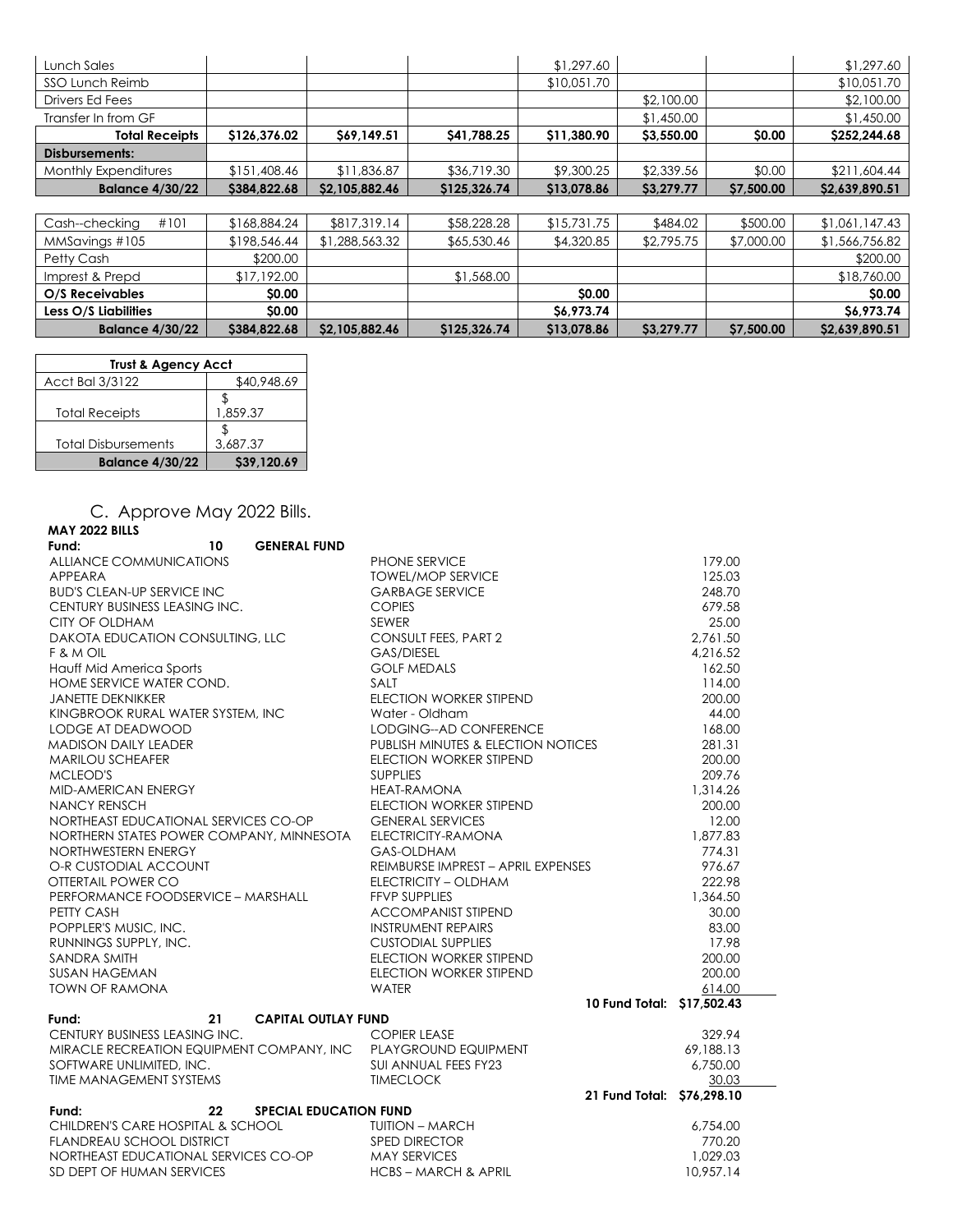| Lunch Sales            |              |                |              | \$1,297.60  |            |            | \$1,297.60     |
|------------------------|--------------|----------------|--------------|-------------|------------|------------|----------------|
| SSO Lunch Reimb        |              |                |              | \$10,051.70 |            |            | \$10,051.70    |
| Drivers Ed Fees        |              |                |              |             | \$2,100.00 |            | \$2,100.00     |
| Transfer In from GF    |              |                |              |             | \$1,450.00 |            | \$1,450.00     |
| <b>Total Receipts</b>  | \$126,376.02 | \$69,149.51    | \$41,788.25  | \$11,380.90 | \$3,550.00 | \$0.00     | \$252,244.68   |
| Disbursements:         |              |                |              |             |            |            |                |
| Monthly Expenditures   | \$151,408.46 | \$11,836.87    | \$36,719.30  | \$9,300.25  | \$2,339.56 | \$0.00     | \$211,604.44   |
| <b>Balance 4/30/22</b> | \$384,822.68 | \$2,105,882.46 | \$125,326.74 | \$13,078.86 | \$3,279.77 | \$7,500.00 | \$2,639,890.51 |
|                        |              |                |              |             |            |            |                |
| #101<br>Cash--checking | \$168,884.24 | \$817,319.14   | \$58,228.28  | \$15,731.75 | \$484.02   | \$500.00   | \$1,061,147.43 |
| MMSavings #105         | \$198,546.44 | \$1,288,563.32 | \$65,530.46  | \$4,320.85  | \$2,795.75 | \$7,000.00 | \$1,566,756.82 |
| Petty Cash             | \$200.00     |                |              |             |            |            | \$200.00       |
| Imprest & Prepd        | \$17,192.00  |                | \$1,568.00   |             |            |            | \$18,760.00    |
| O/S Receivables        | \$0.00       |                |              | \$0.00      |            |            | \$0.00         |
| Less O/S Liabilities   | \$0.00       |                |              | \$6,973.74  |            |            | \$6,973.74     |
| <b>Balance 4/30/22</b> | \$384,822.68 | \$2,105,882.46 | \$125,326.74 | \$13,078.86 | \$3,279.77 | \$7,500.00 | \$2,639,890.51 |

| <b>Trust &amp; Agency Acct</b> |             |  |  |
|--------------------------------|-------------|--|--|
| Acct Bal 3/3122                | \$40,948.69 |  |  |
|                                |             |  |  |
| <b>Total Receipts</b>          | 1,859.37    |  |  |
|                                |             |  |  |
| <b>Total Disbursements</b>     | 3.687.37    |  |  |
| <b>Balance 4/30/22</b>         | \$39,120.69 |  |  |

C. Approve May 2022 Bills.

| <b>MAY 2022 BILLS</b>                                                                                                       |                                    |           |
|-----------------------------------------------------------------------------------------------------------------------------|------------------------------------|-----------|
| <b>GENERAL FUND</b><br>Fund:<br>10                                                                                          |                                    |           |
| ALLIANCE COMMUNICATIONS                                                                                                     | PHONE SERVICE                      | 179.00    |
| APPEARA                                                                                                                     | <b>TOWEL/MOP SERVICE</b>           | 125.03    |
| <b>BUD'S CLEAN-UP SERVICE INC</b>                                                                                           | <b>GARBAGE SERVICE</b>             | 248.70    |
| CENTURY BUSINESS LEASING INC.                                                                                               | <b>COPIES</b>                      | 679.58    |
| CITY OF OLDHAM                                                                                                              | <b>SEWER</b>                       | 25.00     |
| DAKOTA EDUCATION CONSULTING, LLC                                                                                            | <b>CONSULT FEES, PART 2</b>        | 2,761.50  |
| F & M OIL                                                                                                                   | <b>GAS/DIESEL</b>                  | 4,216.52  |
| Hauff Mid America Sports                                                                                                    | <b>GOLF MEDALS</b>                 | 162.50    |
| HOME SERVICE WATER COND.                                                                                                    | SALT                               | 114.00    |
| <b>JANETTE DEKNIKKER</b>                                                                                                    | <b>ELECTION WORKER STIPEND</b>     | 200.00    |
| KINGBROOK RURAL WATER SYSTEM, INC                                                                                           | Water - Oldham                     | 44.00     |
| LODGE AT DEADWOOD                                                                                                           | LODGING--AD CONFERENCE             | 168.00    |
| <b>MADISON DAILY LEADER</b>                                                                                                 | PUBLISH MINUTES & ELECTION NOTICES | 281.31    |
| <b>MARILOU SCHEAFER</b>                                                                                                     | <b>ELECTION WORKER STIPEND</b>     | 200.00    |
| MCLEOD'S                                                                                                                    | <b>SUPPLIES</b>                    | 209.76    |
| MID-AMERICAN ENERGY                                                                                                         | <b>HEAT-RAMONA</b>                 | 1,314.26  |
| NANCY RENSCH                                                                                                                | ELECTION WORKER STIPEND            | 200.00    |
| NORTHEAST EDUCATIONAL SERVICES CO-OP                                                                                        | <b>GENERAL SERVICES</b>            | 12.00     |
| NORTHERN STATES POWER COMPANY, MINNESOTA                                                                                    | ELECTRICITY-RAMONA                 | 1,877.83  |
| NORTHWESTERN ENERGY                                                                                                         | GAS-OLDHAM                         | 774.31    |
| O-R CUSTODIAL ACCOUNT                                                                                                       | REIMBURSE IMPREST - APRIL EXPENSES | 976.67    |
| OTTERTAIL POWER CO                                                                                                          | ELECTRICITY - OLDHAM               | 222.98    |
| PERFORMANCE FOODSERVICE - MARSHALL                                                                                          | <b>FFVP SUPPLIES</b>               | 1,364.50  |
| PETTY CASH                                                                                                                  | <b>ACCOMPANIST STIPEND</b>         | 30.00     |
| POPPLER'S MUSIC, INC.                                                                                                       | <b>INSTRUMENT REPAIRS</b>          | 83.00     |
| RUNNINGS SUPPLY, INC.                                                                                                       | <b>CUSTODIAL SUPPLIES</b>          | 17.98     |
| SANDRA SMITH                                                                                                                | ELECTION WORKER STIPEND            | 200.00    |
| <b>SUSAN HAGEMAN</b>                                                                                                        | ELECTION WORKER STIPEND            | 200.00    |
| <b>TOWN OF RAMONA</b>                                                                                                       | <b>WATER</b>                       | 614.00    |
|                                                                                                                             | 10 Fund Total: \$17,502.43         |           |
| Fund:<br><b>CAPITAL OUTLAY FUND</b><br>21                                                                                   |                                    |           |
| CENTURY BUSINESS LEASING INC.                                                                                               | <b>COPIER LEASE</b>                | 329.94    |
|                                                                                                                             |                                    | 69,188.13 |
| MIRACLE RECREATION EQUIPMENT COMPANY, INC<br>SOFTWARE UNLIMITED, INC. SOFTWARE UNLIMITED, INC.<br>TIME MANIA CEMENT SYSTEMS |                                    | 6,750.00  |
| TIME MANAGEMENT SYSTEMS                                                                                                     | <b>TIMECLOCK</b>                   | 30.03     |
|                                                                                                                             | 21 Fund Total: \$76,298.10         |           |
| <b>SPECIAL EDUCATION FUND</b><br>Fund:<br>22                                                                                |                                    |           |
| CHILDREN'S CARE HOSPITAL & SCHOOL                                                                                           | <b>TUITION - MARCH</b>             | 6.754.00  |
| <b>FLANDREAU SCHOOL DISTRICT</b>                                                                                            | <b>SPED DIRECTOR</b>               | 770.20    |
| NORTHEAST EDUCATIONAL SERVICES CO-OP                                                                                        | <b>MAY SERVICES</b>                | 1,029.03  |
| SD DEPT OF HUMAN SERVICES                                                                                                   | HCBS - MARCH & APRIL               | 10,957.14 |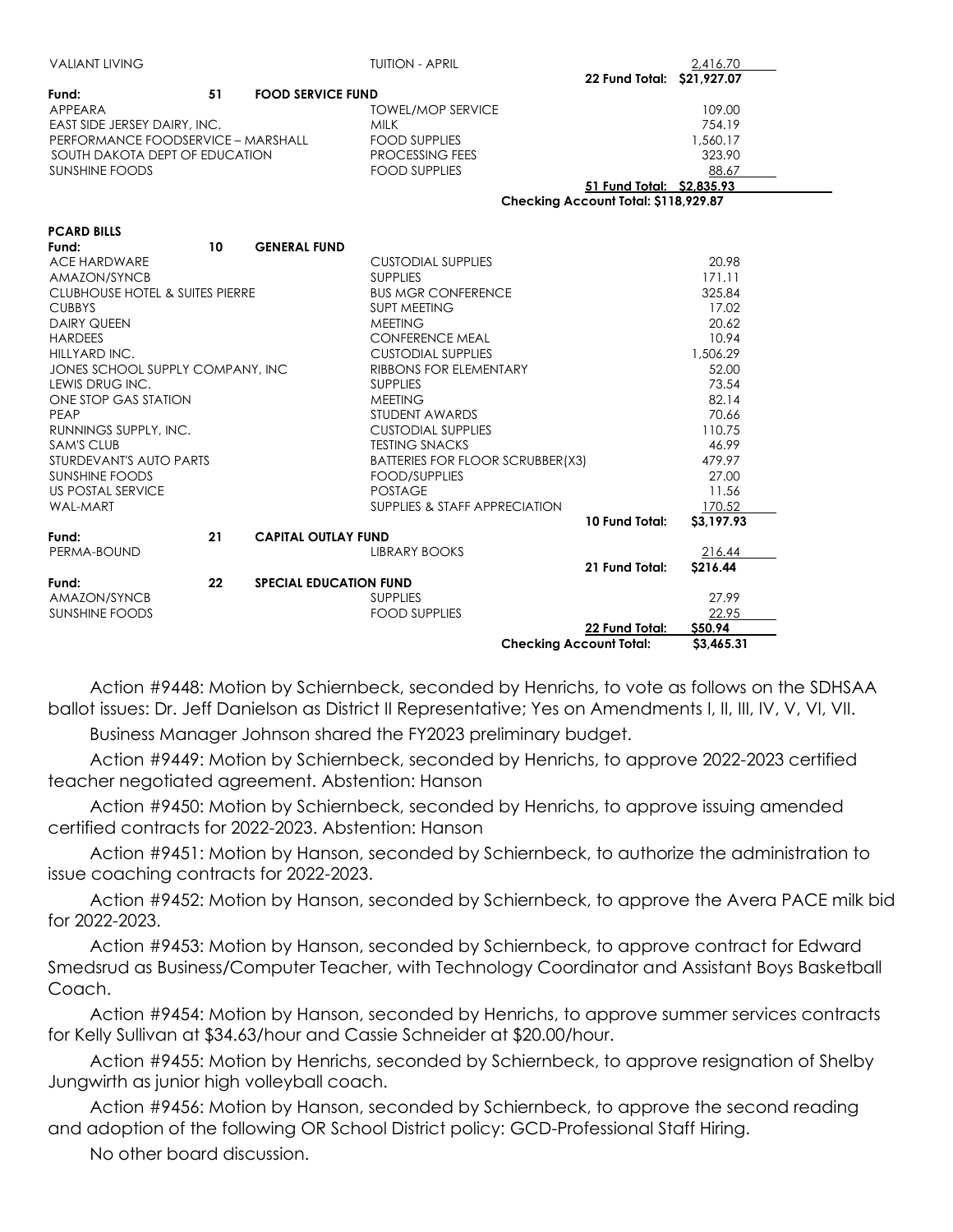| <b>VALIANT LIVING</b>                      |    |                               | <b>TUITION - APRIL</b>           |                                      | 2,416.70   |
|--------------------------------------------|----|-------------------------------|----------------------------------|--------------------------------------|------------|
|                                            |    |                               |                                  | 22 Fund Total: \$21,927.07           |            |
| Fund:                                      | 51 | <b>FOOD SERVICE FUND</b>      |                                  |                                      |            |
| APPEARA                                    |    |                               | <b>TOWEL/MOP SERVICE</b>         |                                      | 109.00     |
| EAST SIDE JERSEY DAIRY, INC.               |    |                               | <b>MILK</b>                      |                                      | 754.19     |
| PERFORMANCE FOODSERVICE - MARSHALL         |    |                               | <b>FOOD SUPPLIES</b>             |                                      | 1,560.17   |
| SOUTH DAKOTA DEPT OF EDUCATION             |    |                               | PROCESSING FEES                  |                                      | 323.90     |
| <b>SUNSHINE FOODS</b>                      |    |                               | <b>FOOD SUPPLIES</b>             |                                      | 88.67      |
|                                            |    |                               |                                  | 51 Fund Total: \$2,835.93            |            |
|                                            |    |                               |                                  | Checking Account Total: \$118,929.87 |            |
| <b>PCARD BILLS</b>                         |    |                               |                                  |                                      |            |
| Fund:                                      | 10 | <b>GENERAL FUND</b>           |                                  |                                      |            |
| <b>ACE HARDWARE</b>                        |    |                               | <b>CUSTODIAL SUPPLIES</b>        |                                      | 20.98      |
| AMAZON/SYNCB                               |    |                               | <b>SUPPLIES</b>                  |                                      | 171.11     |
| <b>CLUBHOUSE HOTEL &amp; SUITES PIERRE</b> |    |                               | <b>BUS MGR CONFERENCE</b>        |                                      | 325.84     |
| <b>CUBBYS</b>                              |    |                               | <b>SUPT MEETING</b>              |                                      | 17.02      |
| <b>DAIRY QUEEN</b>                         |    |                               | <b>MEETING</b>                   |                                      | 20.62      |
| <b>HARDEES</b>                             |    |                               | <b>CONFERENCE MEAL</b>           |                                      | 10.94      |
| HILLYARD INC.                              |    |                               | <b>CUSTODIAL SUPPLIES</b>        |                                      | 1.506.29   |
| JONES SCHOOL SUPPLY COMPANY, INC           |    |                               | RIBBONS FOR ELEMENTARY           |                                      | 52.00      |
| LEWIS DRUG INC.                            |    |                               | <b>SUPPLIES</b>                  |                                      | 73.54      |
| ONE STOP GAS STATION                       |    |                               | <b>MEETING</b>                   |                                      | 82.14      |
| PEAP                                       |    |                               | STUDENT AWARDS                   |                                      | 70.66      |
| RUNNINGS SUPPLY, INC.                      |    |                               | <b>CUSTODIAL SUPPLIES</b>        |                                      | 110.75     |
| <b>SAM'S CLUB</b>                          |    |                               | <b>TESTING SNACKS</b>            |                                      | 46.99      |
| STURDEVANT'S AUTO PARTS                    |    |                               | BATTERIES FOR FLOOR SCRUBBER(X3) |                                      | 479.97     |
| <b>SUNSHINE FOODS</b>                      |    |                               | <b>FOOD/SUPPLIES</b>             |                                      | 27.00      |
| <b>US POSTAL SERVICE</b>                   |    |                               | <b>POSTAGE</b>                   |                                      | 11.56      |
| <b>WAL-MART</b>                            |    |                               | SUPPLIES & STAFF APPRECIATION    |                                      | 170.52     |
|                                            |    |                               |                                  | 10 Fund Total:                       | \$3,197.93 |
| Fund:                                      | 21 | <b>CAPITAL OUTLAY FUND</b>    |                                  |                                      |            |
| PERMA-BOUND                                |    |                               | <b>LIBRARY BOOKS</b>             |                                      | 216.44     |
|                                            |    |                               |                                  | 21 Fund Total:                       | S216.44    |
| Fund:                                      | 22 | <b>SPECIAL EDUCATION FUND</b> |                                  |                                      |            |
| AMAZON/SYNCB                               |    |                               | <b>SUPPLIES</b>                  |                                      | 27.99      |
| <b>SUNSHINE FOODS</b>                      |    |                               | <b>FOOD SUPPLIES</b>             |                                      | 22.95      |
|                                            |    |                               |                                  | 22 Fund Total:                       | \$50.94    |
|                                            |    |                               | <b>Checking Account Total:</b>   |                                      | \$3,465.31 |

 Action #9448: Motion by Schiernbeck, seconded by Henrichs, to vote as follows on the SDHSAA ballot issues: Dr. Jeff Danielson as District II Representative; Yes on Amendments I, II, III, IV, V, VI, VII.

Business Manager Johnson shared the FY2023 preliminary budget.

 Action #9449: Motion by Schiernbeck, seconded by Henrichs, to approve 2022-2023 certified teacher negotiated agreement. Abstention: Hanson

 Action #9450: Motion by Schiernbeck, seconded by Henrichs, to approve issuing amended certified contracts for 2022-2023. Abstention: Hanson

 Action #9451: Motion by Hanson, seconded by Schiernbeck, to authorize the administration to issue coaching contracts for 2022-2023.

 Action #9452: Motion by Hanson, seconded by Schiernbeck, to approve the Avera PACE milk bid for 2022-2023.

 Action #9453: Motion by Hanson, seconded by Schiernbeck, to approve contract for Edward Smedsrud as Business/Computer Teacher, with Technology Coordinator and Assistant Boys Basketball Coach.

 Action #9454: Motion by Hanson, seconded by Henrichs, to approve summer services contracts for Kelly Sullivan at \$34.63/hour and Cassie Schneider at \$20.00/hour.

 Action #9455: Motion by Henrichs, seconded by Schiernbeck, to approve resignation of Shelby Jungwirth as junior high volleyball coach.

 Action #9456: Motion by Hanson, seconded by Schiernbeck, to approve the second reading and adoption of the following OR School District policy: GCD-Professional Staff Hiring.

No other board discussion.